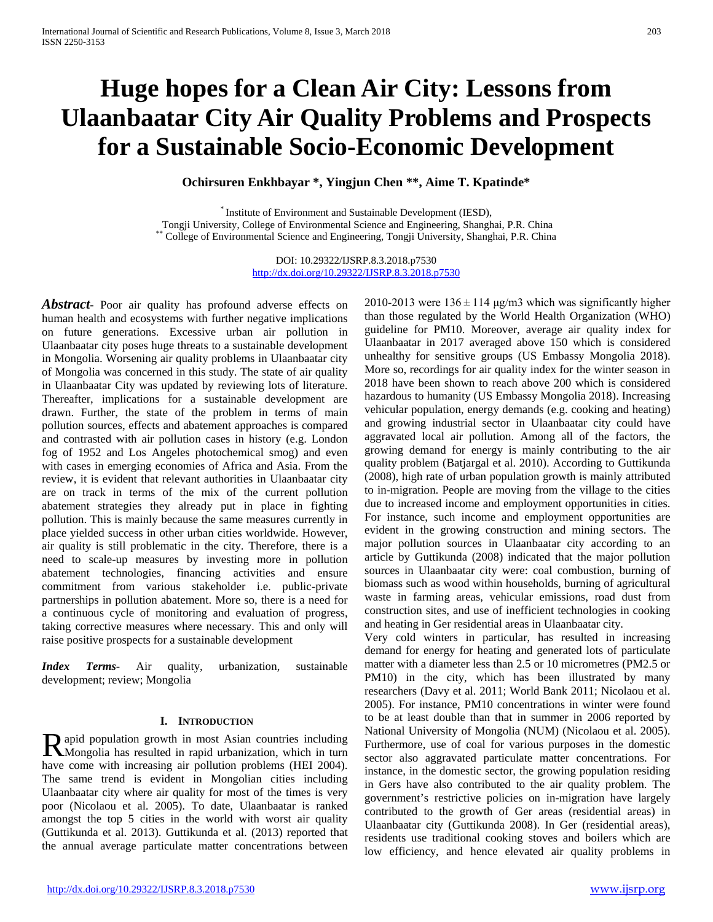# **Huge hopes for a Clean Air City: Lessons from Ulaanbaatar City Air Quality Problems and Prospects for a Sustainable Socio-Economic Development**

**Ochirsuren Enkhbayar \*, Yingjun Chen \*\*, Aime T. Kpatinde\***

\* Institute of Environment and Sustainable Development (IESD), Tongji University, College of Environmental Science and Engineering, Shanghai, P.R. China \*\* College of Environmental Science and Engineering, Tongji University, Shanghai, P.R. China

> DOI: 10.29322/IJSRP.8.3.2018.p7530 <http://dx.doi.org/10.29322/IJSRP.8.3.2018.p7530>

*Abstract* Poor air quality has profound adverse effects on human health and ecosystems with further negative implications on future generations. Excessive urban air pollution in Ulaanbaatar city poses huge threats to a sustainable development in Mongolia. Worsening air quality problems in Ulaanbaatar city of Mongolia was concerned in this study. The state of air quality in Ulaanbaatar City was updated by reviewing lots of literature. Thereafter, implications for a sustainable development are drawn. Further, the state of the problem in terms of main pollution sources, effects and abatement approaches is compared and contrasted with air pollution cases in history (e.g. London fog of 1952 and Los Angeles photochemical smog) and even with cases in emerging economies of Africa and Asia. From the review, it is evident that relevant authorities in Ulaanbaatar city are on track in terms of the mix of the current pollution abatement strategies they already put in place in fighting pollution. This is mainly because the same measures currently in place yielded success in other urban cities worldwide. However, air quality is still problematic in the city. Therefore, there is a need to scale-up measures by investing more in pollution abatement technologies, financing activities and ensure commitment from various stakeholder i.e. public-private partnerships in pollution abatement. More so, there is a need for a continuous cycle of monitoring and evaluation of progress, taking corrective measures where necessary. This and only will raise positive prospects for a sustainable development

*Index Terms*- Air quality, urbanization, sustainable development; review; Mongolia

#### **I. INTRODUCTION**

**a** apid population growth in most Asian countries including Rapid population growth in most Asian countries including<br>Mongolia has resulted in rapid urbanization, which in turn have come with increasing air pollution problems (HEI 2004). The same trend is evident in Mongolian cities including Ulaanbaatar city where air quality for most of the times is very poor (Nicolaou et al. 2005). To date, Ulaanbaatar is ranked amongst the top 5 cities in the world with worst air quality (Guttikunda et al. 2013). Guttikunda et al. (2013) reported that the annual average particulate matter concentrations between

2010-2013 were  $136 \pm 114$  μg/m3 which was significantly higher than those regulated by the World Health Organization (WHO) guideline for PM10. Moreover, average air quality index for Ulaanbaatar in 2017 averaged above 150 which is considered unhealthy for sensitive groups (US Embassy Mongolia 2018). More so, recordings for air quality index for the winter season in 2018 have been shown to reach above 200 which is considered hazardous to humanity (US Embassy Mongolia 2018). Increasing vehicular population, energy demands (e.g. cooking and heating) and growing industrial sector in Ulaanbaatar city could have aggravated local air pollution. Among all of the factors, the growing demand for energy is mainly contributing to the air quality problem (Batjargal et al. 2010). According to Guttikunda (2008), high rate of urban population growth is mainly attributed to in-migration. People are moving from the village to the cities due to increased income and employment opportunities in cities. For instance, such income and employment opportunities are evident in the growing construction and mining sectors. The major pollution sources in Ulaanbaatar city according to an article by Guttikunda (2008) indicated that the major pollution sources in Ulaanbaatar city were: coal combustion, burning of biomass such as wood within households, burning of agricultural waste in farming areas, vehicular emissions, road dust from construction sites, and use of inefficient technologies in cooking and heating in Ger residential areas in Ulaanbaatar city.

Very cold winters in particular, has resulted in increasing demand for energy for heating and generated lots of particulate matter with a diameter less than 2.5 or 10 micrometres (PM2.5 or PM10) in the city, which has been illustrated by many researchers (Davy et al. 2011; World Bank 2011; Nicolaou et al. 2005). For instance, PM10 concentrations in winter were found to be at least double than that in summer in 2006 reported by National University of Mongolia (NUM) (Nicolaou et al. 2005). Furthermore, use of coal for various purposes in the domestic sector also aggravated particulate matter concentrations. For instance, in the domestic sector, the growing population residing in Gers have also contributed to the air quality problem. The government's restrictive policies on in-migration have largely contributed to the growth of Ger areas (residential areas) in Ulaanbaatar city (Guttikunda 2008). In Ger (residential areas), residents use traditional cooking stoves and boilers which are low efficiency, and hence elevated air quality problems in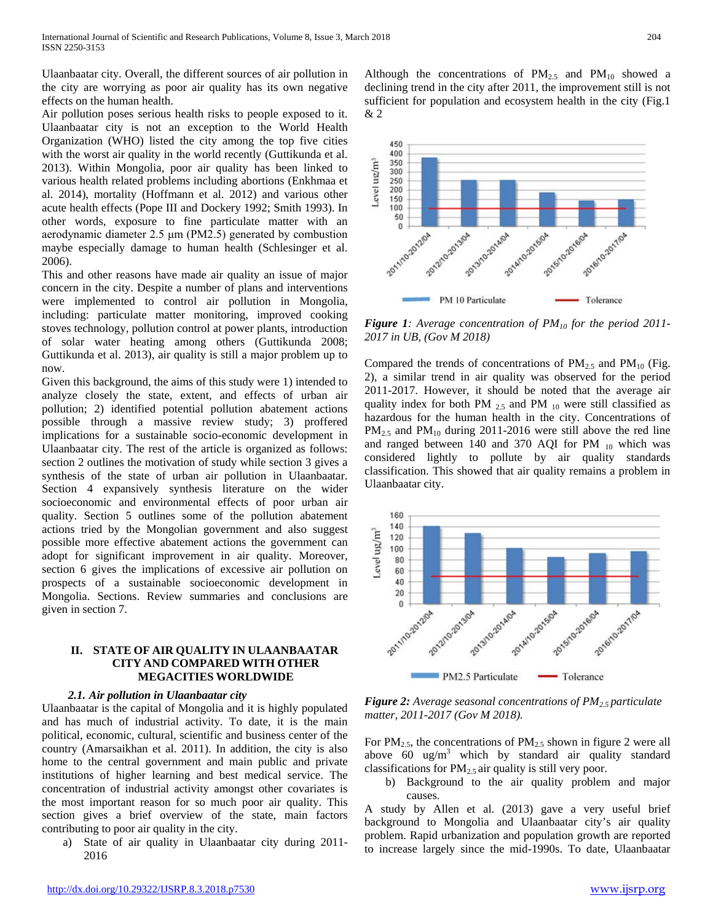Ulaanbaatar city. Overall, the different sources of air pollution in the city are worrying as poor air quality has its own negative effects on the human health.

Air pollution poses serious health risks to people exposed to it. Ulaanbaatar city is not an exception to the World Health Organization (WHO) listed the city among the top five cities with the worst air quality in the world recently (Guttikunda et al. 2013). Within Mongolia, poor air quality has been linked to various health related problems including abortions (Enkhmaa et al. 2014), mortality (Hoffmann et al. 2012) and various other acute health effects (Pope III and Dockery 1992; Smith 1993). In other words, exposure to fine particulate matter with an aerodynamic diameter 2.5 μm (PM2.5) generated by combustion maybe especially damage to human health (Schlesinger et al. 2006).

This and other reasons have made air quality an issue of major concern in the city. Despite a number of plans and interventions were implemented to control air pollution in Mongolia, including: particulate matter monitoring, improved cooking stoves technology, pollution control at power plants, introduction of solar water heating among others (Guttikunda 2008; Guttikunda et al. 2013), air quality is still a major problem up to now.

Given this background, the aims of this study were 1) intended to analyze closely the state, extent, and effects of urban air pollution; 2) identified potential pollution abatement actions possible through a massive review study; 3) proffered implications for a sustainable socio-economic development in Ulaanbaatar city. The rest of the article is organized as follows: section 2 outlines the motivation of study while section 3 gives a synthesis of the state of urban air pollution in Ulaanbaatar. Section 4 expansively synthesis literature on the wider socioeconomic and environmental effects of poor urban air quality. Section 5 outlines some of the pollution abatement actions tried by the Mongolian government and also suggest possible more effective abatement actions the government can adopt for significant improvement in air quality. Moreover, section 6 gives the implications of excessive air pollution on prospects of a sustainable socioeconomic development in Mongolia. Sections. Review summaries and conclusions are given in section 7.

#### **II. STATE OF AIR QUALITY IN ULAANBAATAR CITY AND COMPARED WITH OTHER MEGACITIES WORLDWIDE**

#### *2.1. Air pollution in Ulaanbaatar city*

Ulaanbaatar is the capital of Mongolia and it is highly populated and has much of industrial activity. To date, it is the main political, economic, cultural, scientific and business center of the country (Amarsaikhan et al. 2011). In addition, the city is also home to the central government and main public and private institutions of higher learning and best medical service. The concentration of industrial activity amongst other covariates is the most important reason for so much poor air quality. This section gives a brief overview of the state, main factors contributing to poor air quality in the city.

a) State of air quality in Ulaanbaatar city during 2011- 2016

Although the concentrations of  $PM_{2.5}$  and  $PM_{10}$  showed a declining trend in the city after 2011, the improvement still is not sufficient for population and ecosystem health in the city (Fig.1 & 2



*Figure 1: Average concentration of PM10 for the period 2011- 2017 in UB, (Gov M 2018)*

Compared the trends of concentrations of  $PM_{2.5}$  and  $PM_{10}$  (Fig. 2), a similar trend in air quality was observed for the period 2011-2017. However, it should be noted that the average air quality index for both PM  $_{2.5}$  and PM  $_{10}$  were still classified as hazardous for the human health in the city. Concentrations of  $PM_{2.5}$  and  $PM_{10}$  during 2011-2016 were still above the red line and ranged between 140 and 370 AQI for PM  $_{10}$  which was considered lightly to pollute by air quality standards classification. This showed that air quality remains a problem in Ulaanbaatar city.



*Figure 2: Average seasonal concentrations of PM2.5 particulate matter, 2011-2017 (Gov M 2018).*

For  $PM<sub>2.5</sub>$ , the concentrations of  $PM<sub>2.5</sub>$  shown in figure 2 were all above 60 ug/m<sup>3</sup> which by standard air quality standard classifications for  $PM_{2.5}$  air quality is still very poor.

b) Background to the air quality problem and major causes.

A study by Allen et al. (2013) gave a very useful brief background to Mongolia and Ulaanbaatar city's air quality problem. Rapid urbanization and population growth are reported to increase largely since the mid-1990s. To date, Ulaanbaatar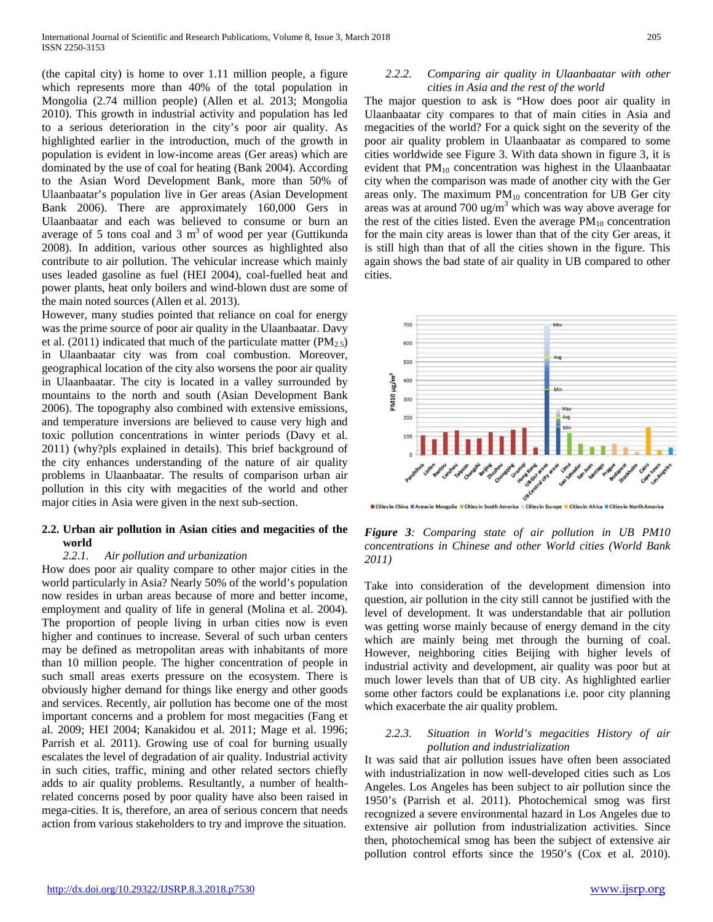(the capital city) is home to over 1.11 million people, a figure which represents more than 40% of the total population in Mongolia (2.74 million people) (Allen et al. 2013; Mongolia 2010). This growth in industrial activity and population has led to a serious deterioration in the city's poor air quality. As highlighted earlier in the introduction, much of the growth in population is evident in low-income areas (Ger areas) which are dominated by the use of coal for heating (Bank 2004). According to the Asian Word Development Bank, more than 50% of Ulaanbaatar's population live in Ger areas (Asian Development Bank 2006). There are approximately 160,000 Gers in Ulaanbaatar and each was believed to consume or burn an average of 5 tons coal and 3  $m<sup>3</sup>$  of wood per year (Guttikunda 2008). In addition, various other sources as highlighted also contribute to air pollution. The vehicular increase which mainly uses leaded gasoline as fuel (HEI 2004), coal-fuelled heat and power plants, heat only boilers and wind-blown dust are some of the main noted sources (Allen et al. 2013).

However, many studies pointed that reliance on coal for energy was the prime source of poor air quality in the Ulaanbaatar. Davy et al. (2011) indicated that much of the particulate matter ( $PM_{2.5}$ ) in Ulaanbaatar city was from coal combustion. Moreover, geographical location of the city also worsens the poor air quality in Ulaanbaatar. The city is located in a valley surrounded by mountains to the north and south (Asian Development Bank 2006). The topography also combined with extensive emissions, and temperature inversions are believed to cause very high and toxic pollution concentrations in winter periods (Davy et al. 2011) (why?pls explained in details). This brief background of the city enhances understanding of the nature of air quality problems in Ulaanbaatar. The results of comparison urban air pollution in this city with megacities of the world and other major cities in Asia were given in the next sub-section.

#### **2.2. Urban air pollution in Asian cities and megacities of the world**

#### *2.2.1. Air pollution and urbanization*

How does poor air quality compare to other major cities in the world particularly in Asia? Nearly 50% of the world's population now resides in urban areas because of more and better income, employment and quality of life in general (Molina et al. 2004). The proportion of people living in urban cities now is even higher and continues to increase. Several of such urban centers may be defined as metropolitan areas with inhabitants of more than 10 million people. The higher concentration of people in such small areas exerts pressure on the ecosystem. There is obviously higher demand for things like energy and other goods and services. Recently, air pollution has become one of the most important concerns and a problem for most megacities (Fang et al. 2009; HEI 2004; Kanakidou et al. 2011; Mage et al. 1996; Parrish et al. 2011). Growing use of coal for burning usually escalates the level of degradation of air quality. Industrial activity in such cities, traffic, mining and other related sectors chiefly adds to air quality problems. Resultantly, a number of healthrelated concerns posed by poor quality have also been raised in mega-cities. It is, therefore, an area of serious concern that needs action from various stakeholders to try and improve the situation.

#### *2.2.2. Comparing air quality in Ulaanbaatar with other cities in Asia and the rest of the world*

The major question to ask is "How does poor air quality in Ulaanbaatar city compares to that of main cities in Asia and megacities of the world? For a quick sight on the severity of the poor air quality problem in Ulaanbaatar as compared to some cities worldwide see Figure 3. With data shown in figure 3, it is evident that  $PM_{10}$  concentration was highest in the Ulaanbaatar city when the comparison was made of another city with the Ger areas only. The maximum  $PM_{10}$  concentration for UB Ger city areas was at around 700 ug/m<sup>3</sup> which was way above average for the rest of the cities listed. Even the average  $PM_{10}$  concentration for the main city areas is lower than that of the city Ger areas, it is still high than that of all the cities shown in the figure. This again shows the bad state of air quality in UB compared to other cities.



**Edition China E Areas in Mongolia Edities in South America Edities in Europe Edities in Africa Edities in North America** 

*Figure 3: Comparing state of air pollution in UB PM10 concentrations in Chinese and other World cities (World Bank 2011)*

Take into consideration of the development dimension into question, air pollution in the city still cannot be justified with the level of development. It was understandable that air pollution was getting worse mainly because of energy demand in the city which are mainly being met through the burning of coal. However, neighboring cities Beijing with higher levels of industrial activity and development, air quality was poor but at much lower levels than that of UB city. As highlighted earlier some other factors could be explanations i.e. poor city planning which exacerbate the air quality problem.

#### *2.2.3. Situation in World's megacities History of air pollution and industrialization*

It was said that air pollution issues have often been associated with industrialization in now well-developed cities such as Los Angeles. Los Angeles has been subject to air pollution since the 1950's (Parrish et al. 2011). Photochemical smog was first recognized a severe environmental hazard in Los Angeles due to extensive air pollution from industrialization activities. Since then, photochemical smog has been the subject of extensive air pollution control efforts since the 1950's (Cox et al. 2010).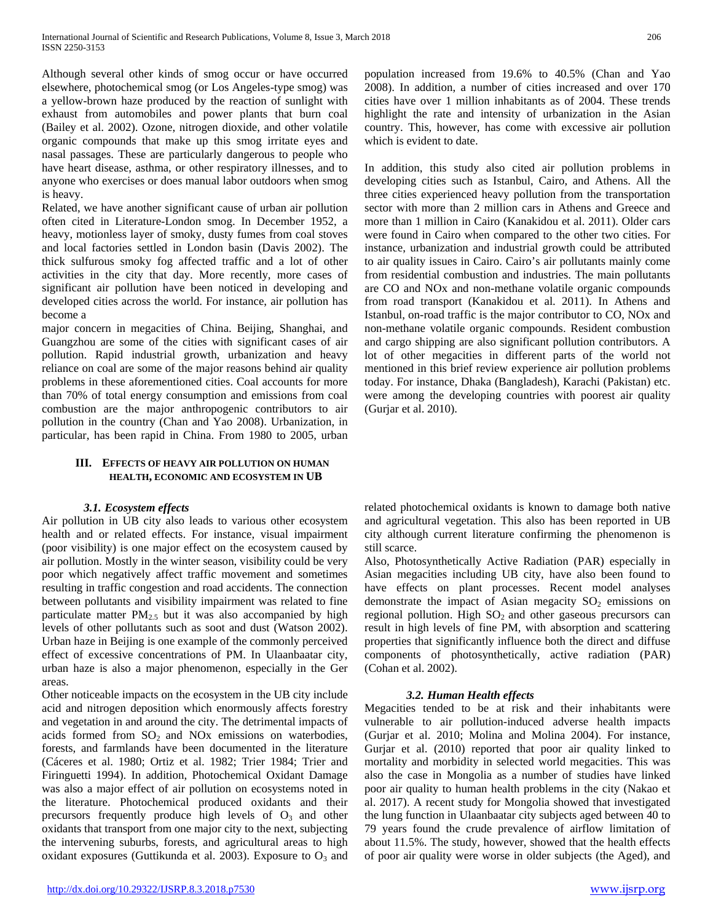Although several other kinds of smog occur or have occurred elsewhere, photochemical smog (or Los Angeles-type smog) was a yellow-brown haze produced by the reaction of sunlight with exhaust from automobiles and power plants that burn coal (Bailey et al. 2002). Ozone, nitrogen dioxide, and other volatile organic compounds that make up this smog irritate eyes and nasal passages. These are particularly dangerous to people who have heart disease, asthma, or other respiratory illnesses, and to anyone who exercises or does manual labor outdoors when smog is heavy.

Related, we have another significant cause of urban air pollution often cited in Literature-London smog. In December 1952, a heavy, motionless layer of smoky, dusty fumes from coal stoves and local factories settled in London basin (Davis 2002). The thick sulfurous smoky fog affected traffic and a lot of other activities in the city that day. More recently, more cases of significant air pollution have been noticed in developing and developed cities across the world. For instance, air pollution has become a

major concern in megacities of China. Beijing, Shanghai, and Guangzhou are some of the cities with significant cases of air pollution. Rapid industrial growth, urbanization and heavy reliance on coal are some of the major reasons behind air quality problems in these aforementioned cities. Coal accounts for more than 70% of total energy consumption and emissions from coal combustion are the major anthropogenic contributors to air pollution in the country (Chan and Yao 2008). Urbanization, in particular, has been rapid in China. From 1980 to 2005, urban

#### **III. EFFECTS OF HEAVY AIR POLLUTION ON HUMAN HEALTH, ECONOMIC AND ECOSYSTEM IN UB**

## *3.1. Ecosystem effects*

Air pollution in UB city also leads to various other ecosystem health and or related effects. For instance, visual impairment (poor visibility) is one major effect on the ecosystem caused by air pollution. Mostly in the winter season, visibility could be very poor which negatively affect traffic movement and sometimes resulting in traffic congestion and road accidents. The connection between pollutants and visibility impairment was related to fine particulate matter  $PM_{2.5}$  but it was also accompanied by high levels of other pollutants such as soot and dust (Watson 2002). Urban haze in Beijing is one example of the commonly perceived effect of excessive concentrations of PM. In Ulaanbaatar city, urban haze is also a major phenomenon, especially in the Ger areas.

Other noticeable impacts on the ecosystem in the UB city include acid and nitrogen deposition which enormously affects forestry and vegetation in and around the city. The detrimental impacts of acids formed from  $SO_2$  and  $NOx$  emissions on waterbodies, forests, and farmlands have been documented in the literature (Cáceres et al. 1980; Ortiz et al. 1982; Trier 1984; Trier and Firinguetti 1994). In addition, Photochemical Oxidant Damage was also a major effect of air pollution on ecosystems noted in the literature. Photochemical produced oxidants and their precursors frequently produce high levels of  $O_3$  and other oxidants that transport from one major city to the next, subjecting the intervening suburbs, forests, and agricultural areas to high oxidant exposures (Guttikunda et al. 2003). Exposure to  $O_3$  and population increased from 19.6% to 40.5% (Chan and Yao 2008). In addition, a number of cities increased and over 170 cities have over 1 million inhabitants as of 2004. These trends highlight the rate and intensity of urbanization in the Asian country. This, however, has come with excessive air pollution which is evident to date.

In addition, this study also cited air pollution problems in developing cities such as Istanbul, Cairo, and Athens. All the three cities experienced heavy pollution from the transportation sector with more than 2 million cars in Athens and Greece and more than 1 million in Cairo (Kanakidou et al. 2011). Older cars were found in Cairo when compared to the other two cities. For instance, urbanization and industrial growth could be attributed to air quality issues in Cairo. Cairo's air pollutants mainly come from residential combustion and industries. The main pollutants are CO and NOx and non-methane volatile organic compounds from road transport (Kanakidou et al. 2011). In Athens and Istanbul, on-road traffic is the major contributor to CO, NOx and non-methane volatile organic compounds. Resident combustion and cargo shipping are also significant pollution contributors. A lot of other megacities in different parts of the world not mentioned in this brief review experience air pollution problems today. For instance, Dhaka (Bangladesh), Karachi (Pakistan) etc. were among the developing countries with poorest air quality (Gurjar et al. 2010).

related photochemical oxidants is known to damage both native and agricultural vegetation. This also has been reported in UB city although current literature confirming the phenomenon is still scarce.

Also, Photosynthetically Active Radiation (PAR) especially in Asian megacities including UB city, have also been found to have effects on plant processes. Recent model analyses demonstrate the impact of Asian megacity  $SO_2$  emissions on regional pollution. High  $SO<sub>2</sub>$  and other gaseous precursors can result in high levels of fine PM, with absorption and scattering properties that significantly influence both the direct and diffuse components of photosynthetically, active radiation (PAR) (Cohan et al. 2002).

#### *3.2. Human Health effects*

Megacities tended to be at risk and their inhabitants were vulnerable to air pollution-induced adverse health impacts (Gurjar et al. 2010; Molina and Molina 2004). For instance, Gurjar et al. (2010) reported that poor air quality linked to mortality and morbidity in selected world megacities. This was also the case in Mongolia as a number of studies have linked poor air quality to human health problems in the city (Nakao et al. 2017). A recent study for Mongolia showed that investigated the lung function in Ulaanbaatar city subjects aged between 40 to 79 years found the crude prevalence of airflow limitation of about 11.5%. The study, however, showed that the health effects of poor air quality were worse in older subjects (the Aged), and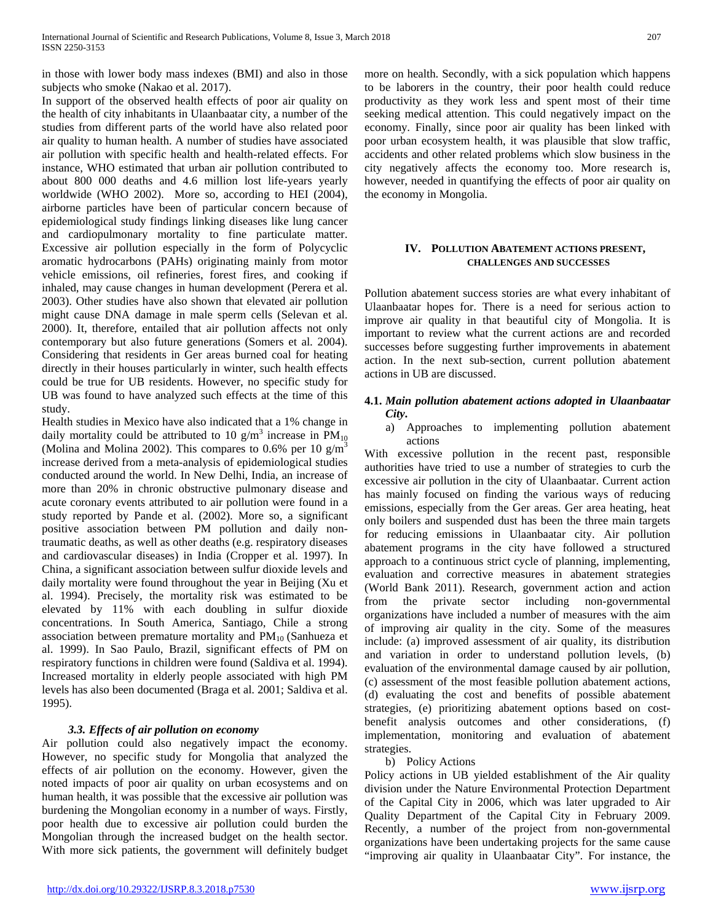in those with lower body mass indexes (BMI) and also in those subjects who smoke (Nakao et al. 2017).

In support of the observed health effects of poor air quality on the health of city inhabitants in Ulaanbaatar city, a number of the studies from different parts of the world have also related poor air quality to human health. A number of studies have associated air pollution with specific health and health-related effects. For instance, WHO estimated that urban air pollution contributed to about 800 000 deaths and 4.6 million lost life-years yearly worldwide (WHO 2002). More so, according to HEI (2004), airborne particles have been of particular concern because of epidemiological study findings linking diseases like lung cancer and cardiopulmonary mortality to fine particulate matter. Excessive air pollution especially in the form of Polycyclic aromatic hydrocarbons (PAHs) originating mainly from motor vehicle emissions, oil refineries, forest fires, and cooking if inhaled, may cause changes in human development (Perera et al. 2003). Other studies have also shown that elevated air pollution might cause DNA damage in male sperm cells (Selevan et al. 2000). It, therefore, entailed that air pollution affects not only contemporary but also future generations (Somers et al. 2004). Considering that residents in Ger areas burned coal for heating directly in their houses particularly in winter, such health effects could be true for UB residents. However, no specific study for UB was found to have analyzed such effects at the time of this study.

Health studies in Mexico have also indicated that a 1% change in daily mortality could be attributed to 10 g/m<sup>3</sup> increase in  $PM_{10}$ (Molina and Molina 2002). This compares to 0.6% per 10  $\text{g/m}^3$ increase derived from a meta-analysis of epidemiological studies conducted around the world. In New Delhi, India, an increase of more than 20% in chronic obstructive pulmonary disease and acute coronary events attributed to air pollution were found in a study reported by Pande et al. (2002). More so, a significant positive association between PM pollution and daily nontraumatic deaths, as well as other deaths (e.g. respiratory diseases and cardiovascular diseases) in India (Cropper et al. 1997). In China, a significant association between sulfur dioxide levels and daily mortality were found throughout the year in Beijing (Xu et al. 1994). Precisely, the mortality risk was estimated to be elevated by 11% with each doubling in sulfur dioxide concentrations. In South America, Santiago, Chile a strong association between premature mortality and  $PM_{10}$  (Sanhueza et al. 1999). In Sao Paulo, Brazil, significant effects of PM on respiratory functions in children were found (Saldiva et al. 1994). Increased mortality in elderly people associated with high PM levels has also been documented (Braga et al. 2001; Saldiva et al. 1995).

## *3.3. Effects of air pollution on economy*

Air pollution could also negatively impact the economy. However, no specific study for Mongolia that analyzed the effects of air pollution on the economy. However, given the noted impacts of poor air quality on urban ecosystems and on human health, it was possible that the excessive air pollution was burdening the Mongolian economy in a number of ways. Firstly, poor health due to excessive air pollution could burden the Mongolian through the increased budget on the health sector. With more sick patients, the government will definitely budget

more on health. Secondly, with a sick population which happens to be laborers in the country, their poor health could reduce productivity as they work less and spent most of their time seeking medical attention. This could negatively impact on the economy. Finally, since poor air quality has been linked with poor urban ecosystem health, it was plausible that slow traffic, accidents and other related problems which slow business in the city negatively affects the economy too. More research is, however, needed in quantifying the effects of poor air quality on the economy in Mongolia.

#### **IV. POLLUTION ABATEMENT ACTIONS PRESENT, CHALLENGES AND SUCCESSES**

Pollution abatement success stories are what every inhabitant of Ulaanbaatar hopes for. There is a need for serious action to improve air quality in that beautiful city of Mongolia. It is important to review what the current actions are and recorded successes before suggesting further improvements in abatement action. In the next sub-section, current pollution abatement actions in UB are discussed.

#### **4.1.** *Main pollution abatement actions adopted in Ulaanbaatar City***.**

a) Approaches to implementing pollution abatement actions

With excessive pollution in the recent past, responsible authorities have tried to use a number of strategies to curb the excessive air pollution in the city of Ulaanbaatar. Current action has mainly focused on finding the various ways of reducing emissions, especially from the Ger areas. Ger area heating, heat only boilers and suspended dust has been the three main targets for reducing emissions in Ulaanbaatar city. Air pollution abatement programs in the city have followed a structured approach to a continuous strict cycle of planning, implementing, evaluation and corrective measures in abatement strategies (World Bank 2011). Research, government action and action from the private sector including non-governmental organizations have included a number of measures with the aim of improving air quality in the city. Some of the measures include: (a) improved assessment of air quality, its distribution and variation in order to understand pollution levels, (b) evaluation of the environmental damage caused by air pollution, (c) assessment of the most feasible pollution abatement actions, (d) evaluating the cost and benefits of possible abatement strategies, (e) prioritizing abatement options based on costbenefit analysis outcomes and other considerations, (f) implementation, monitoring and evaluation of abatement strategies.

#### b) Policy Actions

Policy actions in UB yielded establishment of the Air quality division under the Nature Environmental Protection Department of the Capital City in 2006, which was later upgraded to Air Quality Department of the Capital City in February 2009. Recently, a number of the project from non-governmental organizations have been undertaking projects for the same cause "improving air quality in Ulaanbaatar City". For instance, the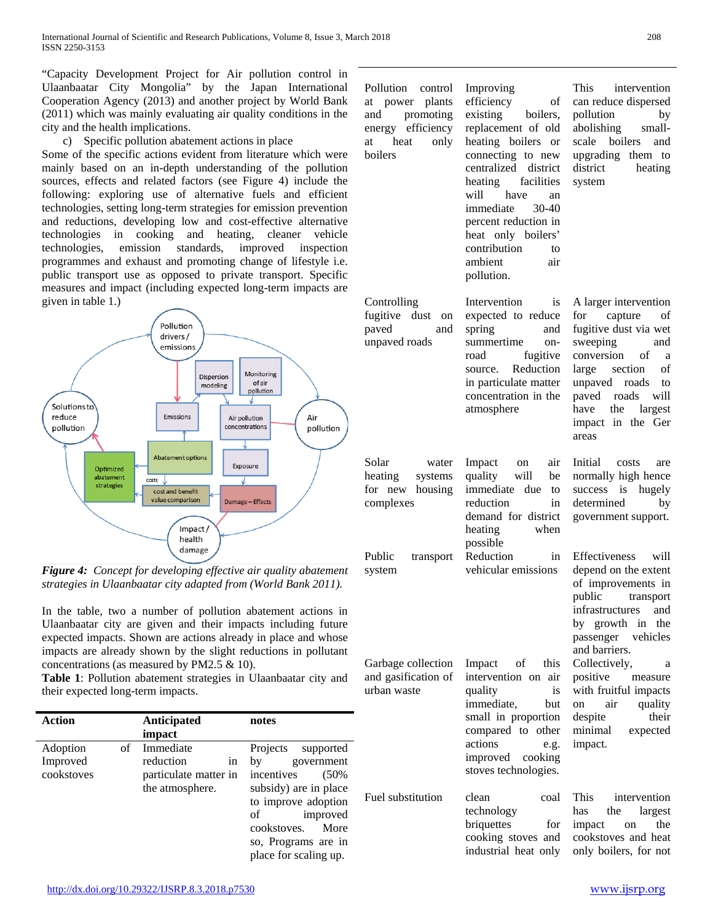"Capacity Development Project for Air pollution control in Ulaanbaatar City Mongolia" by the Japan International Cooperation Agency (2013) and another project by World Bank (2011) which was mainly evaluating air quality conditions in the city and the health implications.

c) Specific pollution abatement actions in place

Some of the specific actions evident from literature which were mainly based on an in-depth understanding of the pollution sources, effects and related factors (see Figure 4) include the following: exploring use of alternative fuels and efficient technologies, setting long-term strategies for emission prevention and reductions, developing low and cost-effective alternative technologies in cooking and heating, cleaner vehicle technologies, emission standards, improved inspection programmes and exhaust and promoting change of lifestyle i.e. public transport use as opposed to private transport. Specific measures and impact (including expected long-term impacts are given in table 1.)



*Figure 4: Concept for developing effective air quality abatement strategies in Ulaanbaatar city adapted from (World Bank 2011).*

In the table, two a number of pollution abatement actions in Ulaanbaatar city are given and their impacts including future expected impacts. Shown are actions already in place and whose impacts are already shown by the slight reductions in pollutant concentrations (as measured by PM2.5 & 10).

**Table 1**: Pollution abatement strategies in Ulaanbaatar city and their expected long-term impacts.

| Action     |    | <b>Anticipated</b><br>impact | notes                 |
|------------|----|------------------------------|-----------------------|
| Adoption   | οf | Immediate                    | Projects<br>supported |
| Improved   |    | reduction<br>1n              | government<br>bv      |
| cookstoves |    | particulate matter in        | incentives<br>(50%    |
|            |    | the atmosphere.              | subsidy) are in place |
|            |    |                              | to improve adoption   |
|            |    |                              | improved<br>of        |
|            |    |                              | cookstoves.<br>More   |
|            |    |                              | so, Programs are in   |
|            |    |                              | place for scaling up. |

Pollution control at power plants and promoting energy efficiency at heat only boilers

Controlling fugitive dust on paved and unpaved roads

complexes

system

urban waste

efficiency of existing boilers, replacement of old heating boilers or connecting to new centralized district heating facilities will have an immediate 30-40 percent reduction in heat only boilers' contribution to ambient air pollution.

Improving

Intervention is expected to reduce spring and summertime onroad fugitive source. Reduction in particulate matter concentration in the atmosphere

Solar water heating systems for new housing Impact on air quality will be immediate due to reduction in demand for district heating when possible Public transport Reduction in

vehicular emissions

Garbage collection and gasification of Impact of this intervention on air quality is immediate, but small in proportion compared to other actions e.g. improved cooking

Fuel substitution clean coal technology briquettes for cooking stoves and industrial heat only

stoves technologies.

This intervention can reduce dispersed pollution by abolishing smallscale boilers and upgrading them to district heating system

A larger intervention for capture of fugitive dust via wet sweeping and conversion of a large section of unpaved roads to paved roads will have the largest impact in the Ger areas

Initial costs are normally high hence success is hugely determined by government support.

Effectiveness will depend on the extent of improvements in public transport infrastructures and by growth in the passenger vehicles and barriers. Collectively, a positive measure with fruitful impacts on air quality despite their minimal expected impact.

This intervention has the largest impact on the cookstoves and heat only boilers, for not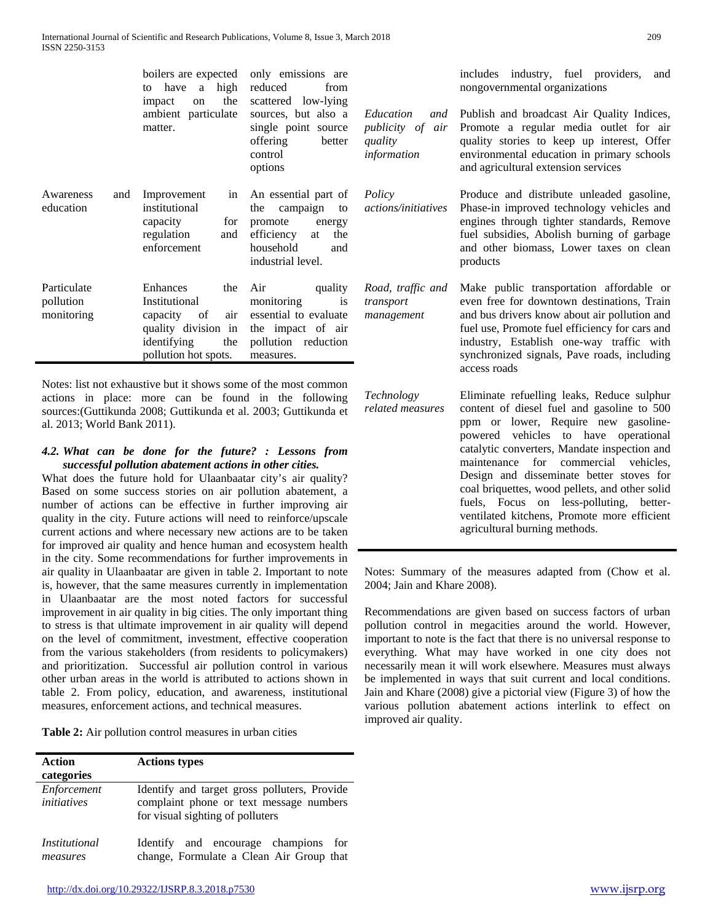|                                        | to have a high reduced<br>impact<br>on<br>matter.                                        | boilers are expected only emissions are<br>from<br>the scattered low-lying<br>ambient particulate sources, but also a Education<br>single point source <i>publicity of</i><br>offering<br>better<br>control<br>options | quality<br>information                   |
|----------------------------------------|------------------------------------------------------------------------------------------|------------------------------------------------------------------------------------------------------------------------------------------------------------------------------------------------------------------------|------------------------------------------|
| and<br>Awareness<br>education          | Improvement<br>institutional<br>capacity for promote<br>regulation<br>and<br>enforcement | in An essential part of <i>Policy</i><br>the campaign to<br>energy<br>efficiency at<br>the<br>household<br>and<br>industrial level.                                                                                    | actions/initia                           |
| Particulate<br>pollution<br>monitoring | Enhances<br>the<br>Institutional<br>identifying<br>pollution hot spots.                  | Air<br>quality<br>monitoring<br>is<br>capacity of air essential to evaluate<br>quality division in the impact of air<br>the pollution reduction<br>measures.                                                           | Road, traffic<br>transport<br>management |

Notes: list not exhaustive but it shows some of the most common actions in place: more can be found in the following sources:(Guttikunda 2008; Guttikunda et al. 2003; Guttikunda et al. 2013; World Bank 2011).

#### *4.2. What can be done for the future? : Lessons from successful pollution abatement actions in other cities.*

What does the future hold for Ulaanbaatar city's air quality? Based on some success stories on air pollution abatement, a number of actions can be effective in further improving air quality in the city. Future actions will need to reinforce/upscale current actions and where necessary new actions are to be taken for improved air quality and hence human and ecosystem health in the city. Some recommendations for further improvements in air quality in Ulaanbaatar are given in table 2. Important to note is, however, that the same measures currently in implementation in Ulaanbaatar are the most noted factors for successful improvement in air quality in big cities. The only important thing to stress is that ultimate improvement in air quality will depend on the level of commitment, investment, effective cooperation from the various stakeholders (from residents to policymakers) and prioritization. Successful air pollution control in various other urban areas in the world is attributed to actions shown in table 2. From policy, education, and awareness, institutional measures, enforcement actions, and technical measures.

**Table 2:** Air pollution control measures in urban cities

| <b>Action</b><br>categories       | <b>Actions types</b>                                                                                                        |
|-----------------------------------|-----------------------------------------------------------------------------------------------------------------------------|
| Enforcement<br><i>initiatives</i> | Identify and target gross polluters, Provide<br>complaint phone or text message numbers<br>for visual sighting of polluters |
| <i>Institutional</i><br>measures  | and encourage champions for<br>Identify<br>change, Formulate a Clean Air Group that                                         |

includes industry, fuel providers, and nongovernmental organizations

*and publication* of air  $\frac{1}{2}$ Publish and broadcast Air Quality Indices, Promote a regular media outlet for air quality stories to keep up interest, Offer environmental education in primary schools and agricultural extension services

*actions/initiatives* Produce and distribute unleaded gasoline, Phase-in improved technology vehicles and engines through tighter standards, Remove fuel subsidies, Abolish burning of garbage and other biomass, Lower taxes on clean products

*Road, traffic and*  Make public transportation affordable or even free for downtown destinations, Train and bus drivers know about air pollution and fuel use, Promote fuel efficiency for cars and industry, Establish one-way traffic with synchronized signals, Pave roads, including access roads

*Technology related measures* Eliminate refuelling leaks, Reduce sulphur content of diesel fuel and gasoline to 500 ppm or lower, Require new gasolinepowered vehicles to have operational catalytic converters, Mandate inspection and maintenance for commercial vehicles, Design and disseminate better stoves for coal briquettes, wood pellets, and other solid fuels, Focus on less-polluting, betterventilated kitchens, Promote more efficient agricultural burning methods.

Notes: Summary of the measures adapted from (Chow et al. 2004; Jain and Khare 2008).

Recommendations are given based on success factors of urban pollution control in megacities around the world. However, important to note is the fact that there is no universal response to everything. What may have worked in one city does not necessarily mean it will work elsewhere. Measures must always be implemented in ways that suit current and local conditions. Jain and Khare (2008) give a pictorial view (Figure 3) of how the various pollution abatement actions interlink to effect on improved air quality.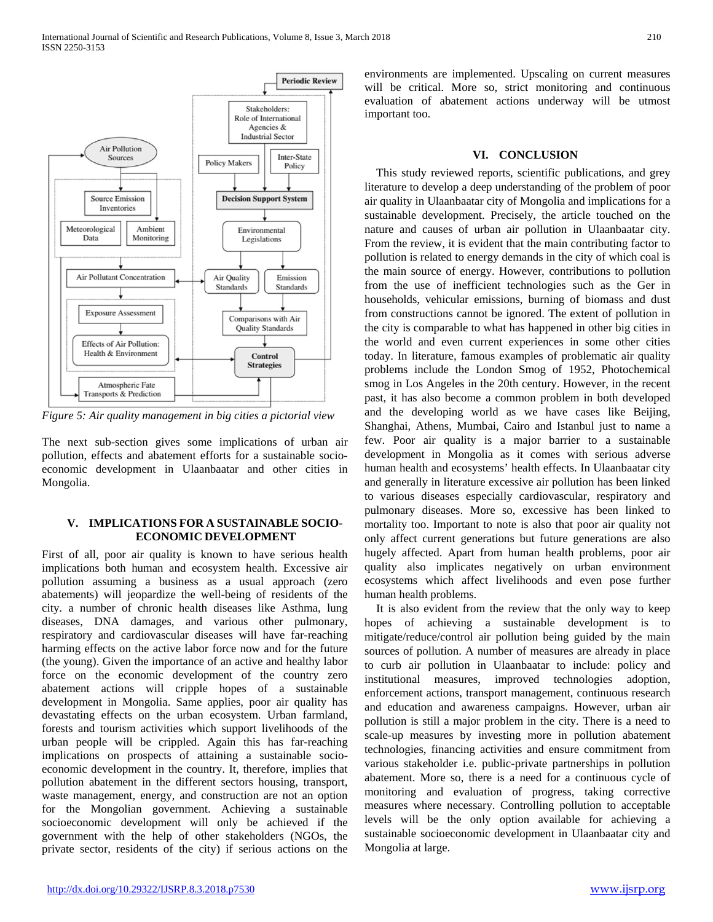

*Figure 5: Air quality management in big cities a pictorial view*

The next sub-section gives some implications of urban air pollution, effects and abatement efforts for a sustainable socioeconomic development in Ulaanbaatar and other cities in Mongolia.

#### **V. IMPLICATIONS FOR A SUSTAINABLE SOCIO-ECONOMIC DEVELOPMENT**

First of all, poor air quality is known to have serious health implications both human and ecosystem health. Excessive air pollution assuming a business as a usual approach (zero abatements) will jeopardize the well-being of residents of the city. a number of chronic health diseases like Asthma, lung diseases, DNA damages, and various other pulmonary, respiratory and cardiovascular diseases will have far-reaching harming effects on the active labor force now and for the future (the young). Given the importance of an active and healthy labor force on the economic development of the country zero abatement actions will cripple hopes of a sustainable development in Mongolia. Same applies, poor air quality has devastating effects on the urban ecosystem. Urban farmland, forests and tourism activities which support livelihoods of the urban people will be crippled. Again this has far-reaching implications on prospects of attaining a sustainable socioeconomic development in the country. It, therefore, implies that pollution abatement in the different sectors housing, transport, waste management, energy, and construction are not an option for the Mongolian government. Achieving a sustainable socioeconomic development will only be achieved if the government with the help of other stakeholders (NGOs, the private sector, residents of the city) if serious actions on the

environments are implemented. Upscaling on current measures will be critical. More so, strict monitoring and continuous evaluation of abatement actions underway will be utmost important too.

#### **VI. CONCLUSION**

This study reviewed reports, scientific publications, and grey literature to develop a deep understanding of the problem of poor air quality in Ulaanbaatar city of Mongolia and implications for a sustainable development. Precisely, the article touched on the nature and causes of urban air pollution in Ulaanbaatar city. From the review, it is evident that the main contributing factor to pollution is related to energy demands in the city of which coal is the main source of energy. However, contributions to pollution from the use of inefficient technologies such as the Ger in households, vehicular emissions, burning of biomass and dust from constructions cannot be ignored. The extent of pollution in the city is comparable to what has happened in other big cities in the world and even current experiences in some other cities today. In literature, famous examples of problematic air quality problems include the London Smog of 1952, Photochemical smog in Los Angeles in the 20th century. However, in the recent past, it has also become a common problem in both developed and the developing world as we have cases like Beijing, Shanghai, Athens, Mumbai, Cairo and Istanbul just to name a few. Poor air quality is a major barrier to a sustainable development in Mongolia as it comes with serious adverse human health and ecosystems' health effects. In Ulaanbaatar city and generally in literature excessive air pollution has been linked to various diseases especially cardiovascular, respiratory and pulmonary diseases. More so, excessive has been linked to mortality too. Important to note is also that poor air quality not only affect current generations but future generations are also hugely affected. Apart from human health problems, poor air quality also implicates negatively on urban environment ecosystems which affect livelihoods and even pose further human health problems.

It is also evident from the review that the only way to keep hopes of achieving a sustainable development is to mitigate/reduce/control air pollution being guided by the main sources of pollution. A number of measures are already in place to curb air pollution in Ulaanbaatar to include: policy and institutional measures, improved technologies adoption, enforcement actions, transport management, continuous research and education and awareness campaigns. However, urban air pollution is still a major problem in the city. There is a need to scale-up measures by investing more in pollution abatement technologies, financing activities and ensure commitment from various stakeholder i.e. public-private partnerships in pollution abatement. More so, there is a need for a continuous cycle of monitoring and evaluation of progress, taking corrective measures where necessary. Controlling pollution to acceptable levels will be the only option available for achieving a sustainable socioeconomic development in Ulaanbaatar city and Mongolia at large.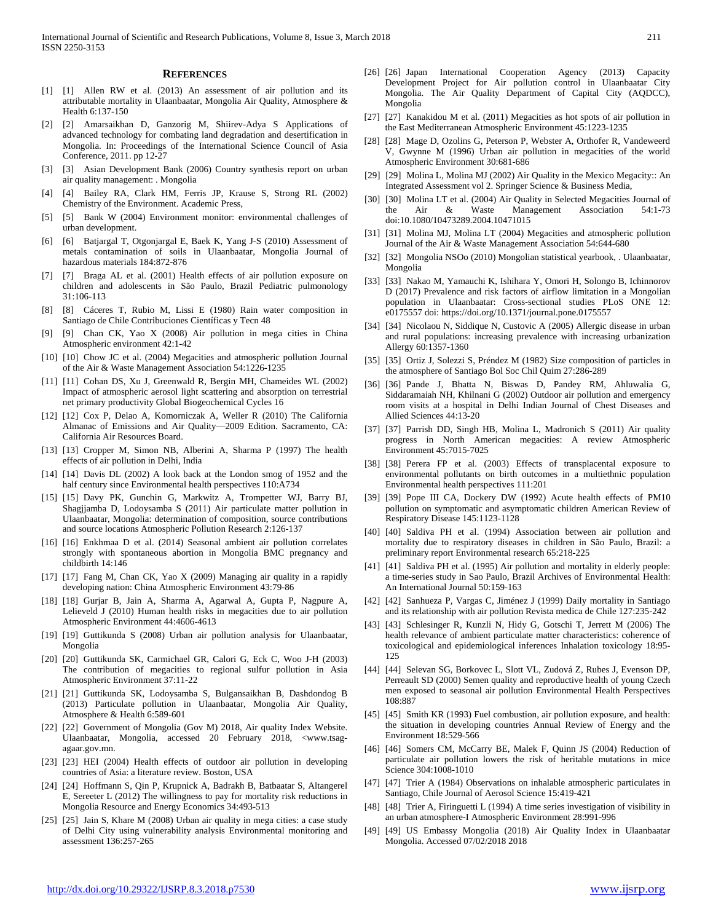#### **REFERENCES**

- [1] [1] Allen RW et al. (2013) An assessment of air pollution and its attributable mortality in Ulaanbaatar, Mongolia Air Quality, Atmosphere & Health 6:137-150
- [2] [2] Amarsaikhan D, Ganzorig M, Shiirev-Adya S Applications of advanced technology for combating land degradation and desertification in Mongolia. In: Proceedings of the International Science Council of Asia Conference, 2011. pp 12-27
- [3] [3] Asian Development Bank (2006) Country synthesis report on urban air quality management: . Mongolia
- [4] [4] Bailey RA, Clark HM, Ferris JP, Krause S, Strong RL (2002) Chemistry of the Environment. Academic Press,
- [5] Bank W (2004) Environment monitor: environmental challenges of urban development.
- [6] [6] Batjargal T, Otgonjargal E, Baek K, Yang J-S (2010) Assessment of metals contamination of soils in Ulaanbaatar, Mongolia Journal of hazardous materials 184:872-876
- [7] [7] Braga AL et al. (2001) Health effects of air pollution exposure on children and adolescents in São Paulo, Brazil Pediatric pulmonology 31:106-113
- [8] [8] Cáceres T, Rubio M, Lissi E (1980) Rain water composition in Santiago de Chile Contribuciones Científicas y Tecn 48
- [9] [9] Chan CK, Yao X (2008) Air pollution in mega cities in China Atmospheric environment 42:1-42
- [10] [10] Chow JC et al. (2004) Megacities and atmospheric pollution Journal of the Air & Waste Management Association 54:1226-1235
- [11] [11] Cohan DS, Xu J, Greenwald R, Bergin MH, Chameides WL (2002) Impact of atmospheric aerosol light scattering and absorption on terrestrial net primary productivity Global Biogeochemical Cycles 16
- [12] [12] Cox P, Delao A, Komorniczak A, Weller R (2010) The California Almanac of Emissions and Air Quality—2009 Edition. Sacramento, CA: California Air Resources Board.
- [13] [13] Cropper M, Simon NB, Alberini A, Sharma P (1997) The health effects of air pollution in Delhi, India
- [14] [14] Davis DL (2002) A look back at the London smog of 1952 and the half century since Environmental health perspectives 110:A734
- [15] [15] Davy PK, Gunchin G, Markwitz A, Trompetter WJ, Barry BJ, Shagjjamba D, Lodoysamba S (2011) Air particulate matter pollution in Ulaanbaatar, Mongolia: determination of composition, source contributions and source locations Atmospheric Pollution Research 2:126-137
- [16] [16] Enkhmaa D et al. (2014) Seasonal ambient air pollution correlates strongly with spontaneous abortion in Mongolia BMC pregnancy and childbirth 14:146
- [17] [17] Fang M, Chan CK, Yao X (2009) Managing air quality in a rapidly developing nation: China Atmospheric Environment 43:79-86
- [18] [18] Gurjar B, Jain A, Sharma A, Agarwal A, Gupta P, Nagpure A, Lelieveld J (2010) Human health risks in megacities due to air pollution Atmospheric Environment 44:4606-4613
- [19] [19] Guttikunda S (2008) Urban air pollution analysis for Ulaanbaatar, Mongolia
- [20] [20] Guttikunda SK, Carmichael GR, Calori G, Eck C, Woo J-H (2003) The contribution of megacities to regional sulfur pollution in Asia Atmospheric Environment 37:11-22
- [21] [21] Guttikunda SK, Lodoysamba S, Bulgansaikhan B, Dashdondog B (2013) Particulate pollution in Ulaanbaatar, Mongolia Air Quality, Atmosphere & Health 6:589-601
- [22] [22] Government of Mongolia (Gov M) 2018, Air quality Index Website. Ulaanbaatar, Mongolia, accessed 20 February 2018, <www.tsagagaar.gov.mn.
- [23] [23] HEI (2004) Health effects of outdoor air pollution in developing countries of Asia: a literature review. Boston, USA
- [24] [24] Hoffmann S, Qin P, Krupnick A, Badrakh B, Batbaatar S, Altangerel E, Sereeter L (2012) The willingness to pay for mortality risk reductions in Mongolia Resource and Energy Economics 34:493-513
- [25] [25] Jain S, Khare M (2008) Urban air quality in mega cities: a case study of Delhi City using vulnerability analysis Environmental monitoring and assessment 136:257-265
- [26] [26] Japan International Cooperation Agency (2013) Capacity Development Project for Air pollution control in Ulaanbaatar City Mongolia. The Air Quality Department of Capital City (AQDCC), Mongolia
- [27] [27] Kanakidou M et al. (2011) Megacities as hot spots of air pollution in the East Mediterranean Atmospheric Environment 45:1223-1235
- [28] [28] Mage D, Ozolins G, Peterson P, Webster A, Orthofer R, Vandeweerd V, Gwynne M (1996) Urban air pollution in megacities of the world Atmospheric Environment 30:681-686
- [29] [29] Molina L, Molina MJ (2002) Air Quality in the Mexico Megacity:: An Integrated Assessment vol 2. Springer Science & Business Media,
- [30] [30] Molina LT et al. (2004) Air Quality in Selected Megacities Journal of the Air & Waste Management Association 54:1-73 doi:10.1080/10473289.2004.10471015
- [31] [31] Molina MJ, Molina LT (2004) Megacities and atmospheric pollution Journal of the Air & Waste Management Association 54:644-680
- [32] [32] Mongolia NSOo (2010) Mongolian statistical yearbook, . Ulaanbaatar, Mongolia
- [33] [33] Nakao M, Yamauchi K, Ishihara Y, Omori H, Solongo B, Ichinnorov D (2017) Prevalence and risk factors of airflow limitation in a Mongolian population in Ulaanbaatar: Cross-sectional studies PLoS ONE 12: e0175557 doi: https://doi.org/10.1371/journal.pone.0175557
- [34] [34] Nicolaou N, Siddique N, Custovic A (2005) Allergic disease in urban and rural populations: increasing prevalence with increasing urbanization Allergy 60:1357-1360
- [35] [35] Ortiz J, Solezzi S, Préndez M (1982) Size composition of particles in the atmosphere of Santiago Bol Soc Chil Quim 27:286-289
- [36] [36] Pande J, Bhatta N, Biswas D, Pandey RM, Ahluwalia G, Siddaramaiah NH, Khilnani G (2002) Outdoor air pollution and emergency room visits at a hospital in Delhi Indian Journal of Chest Diseases and Allied Sciences 44:13-20
- [37] [37] Parrish DD, Singh HB, Molina L, Madronich S (2011) Air quality progress in North American megacities: A review Atmospheric Environment 45:7015-7025
- [38] [38] Perera FP et al. (2003) Effects of transplacental exposure to environmental pollutants on birth outcomes in a multiethnic population Environmental health perspectives 111:201
- [39] [39] Pope III CA, Dockery DW (1992) Acute health effects of PM10 pollution on symptomatic and asymptomatic children American Review of Respiratory Disease 145:1123-1128
- [40] [40] Saldiva PH et al. (1994) Association between air pollution and mortality due to respiratory diseases in children in São Paulo, Brazil: a preliminary report Environmental research 65:218-225
- [41] [41] Saldiva PH et al. (1995) Air pollution and mortality in elderly people: a time-series study in Sao Paulo, Brazil Archives of Environmental Health: An International Journal 50:159-163
- [42] [42] Sanhueza P, Vargas C, Jiménez J (1999) Daily mortality in Santiago and its relationship with air pollution Revista medica de Chile 127:235-242
- [43] [43] Schlesinger R, Kunzli N, Hidy G, Gotschi T, Jerrett M (2006) The health relevance of ambient particulate matter characteristics: coherence of toxicological and epidemiological inferences Inhalation toxicology 18:95- 125
- [44] [44] Selevan SG, Borkovec L, Slott VL, Zudová Z, Rubes J, Evenson DP, Perreault SD (2000) Semen quality and reproductive health of young Czech men exposed to seasonal air pollution Environmental Health Perspectives 108:887
- [45] [45] Smith KR (1993) Fuel combustion, air pollution exposure, and health: the situation in developing countries Annual Review of Energy and the Environment 18:529-566
- [46] [46] Somers CM, McCarry BE, Malek F, Quinn JS (2004) Reduction of particulate air pollution lowers the risk of heritable mutations in mice Science 304:1008-1010
- [47] [47] Trier A (1984) Observations on inhalable atmospheric particulates in Santiago, Chile Journal of Aerosol Science 15:419-421
- [48] [48] Trier A, Firinguetti L (1994) A time series investigation of visibility in an urban atmosphere-I Atmospheric Environment 28:991-996
- [49] [49] US Embassy Mongolia (2018) Air Quality Index in Ulaanbaatar Mongolia. Accessed 07/02/2018 2018